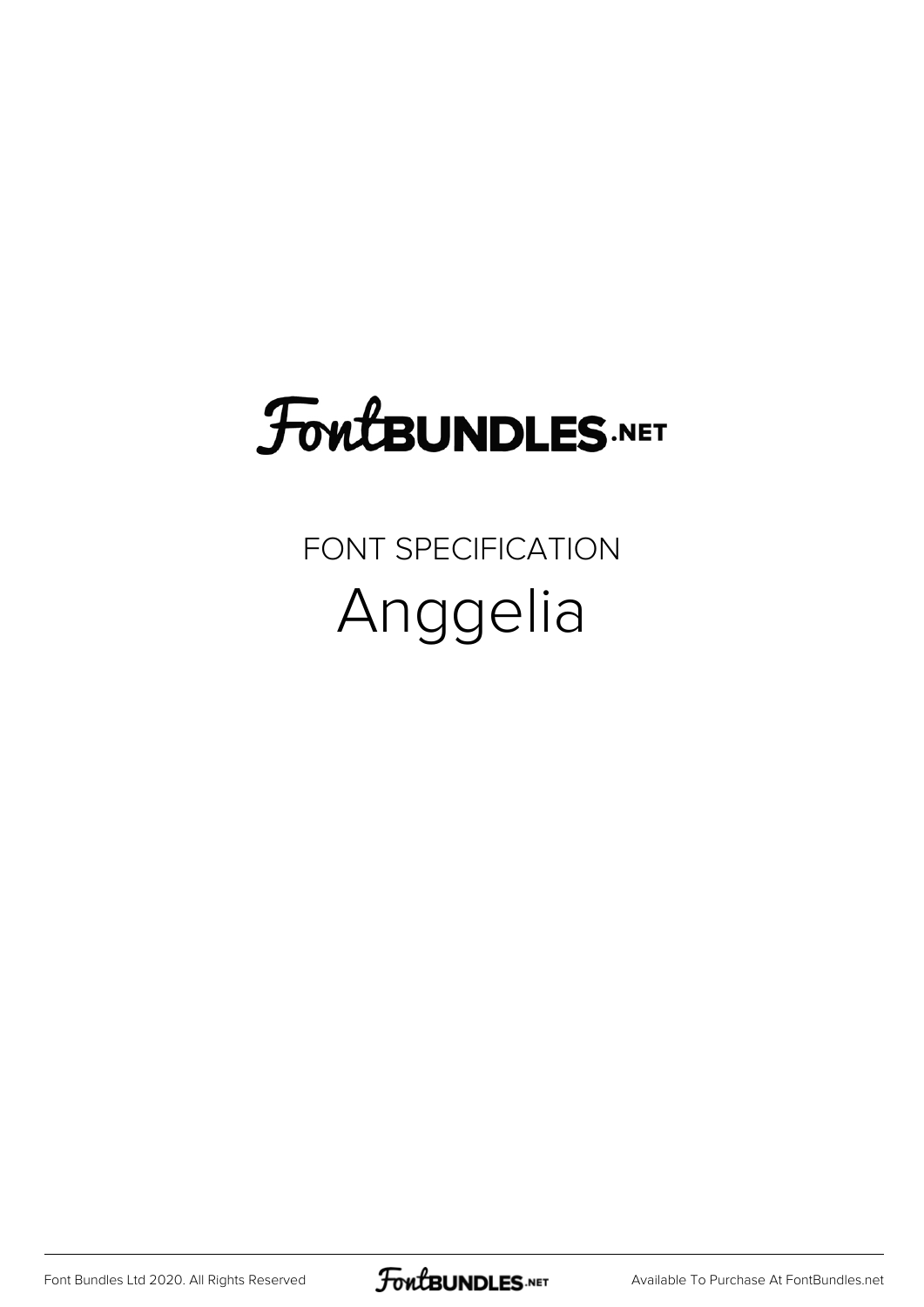## FoutBUNDLES.NET

## FONT SPECIFICATION Anggelia

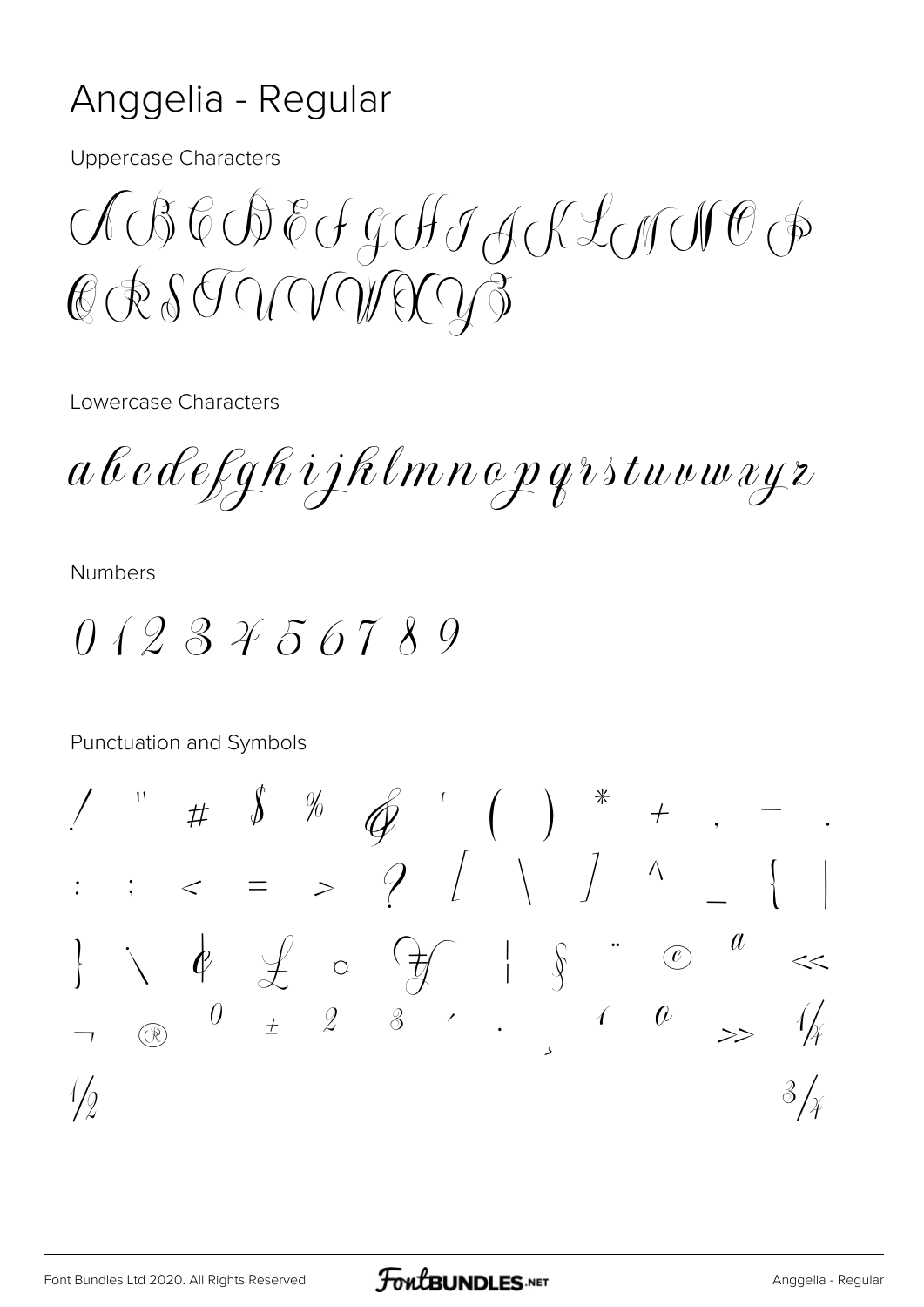## Anggelia - Regular

**Uppercase Characters** 

 $\bigcirc \mathcal{A} \oplus \mathcal{C} \oplus \mathcal{C} \oplus \mathcal{C} \oplus \mathcal{A} \oplus \mathcal{A} \oplus \mathcal{A} \oplus \mathcal{A} \oplus \mathcal{A} \oplus \mathcal{A} \oplus \mathcal{A} \oplus \mathcal{A} \oplus \mathcal{A} \oplus \mathcal{A} \oplus \mathcal{A} \oplus \mathcal{A} \oplus \mathcal{A} \oplus \mathcal{A} \oplus \mathcal{A} \oplus \mathcal{A} \oplus \mathcal{A} \oplus \mathcal{A} \oplus \mathcal{A} \oplus \mathcal{A} \oplus \$ CRSTUVOLOG

Lowercase Characters

a b c d e f g h i j h l m n o p q r s t u v w x y z

**Numbers** 

 $0123456789$ 

Punctuation and Symbols

 $\sqrt{2}$  $\sqrt[3]{x}$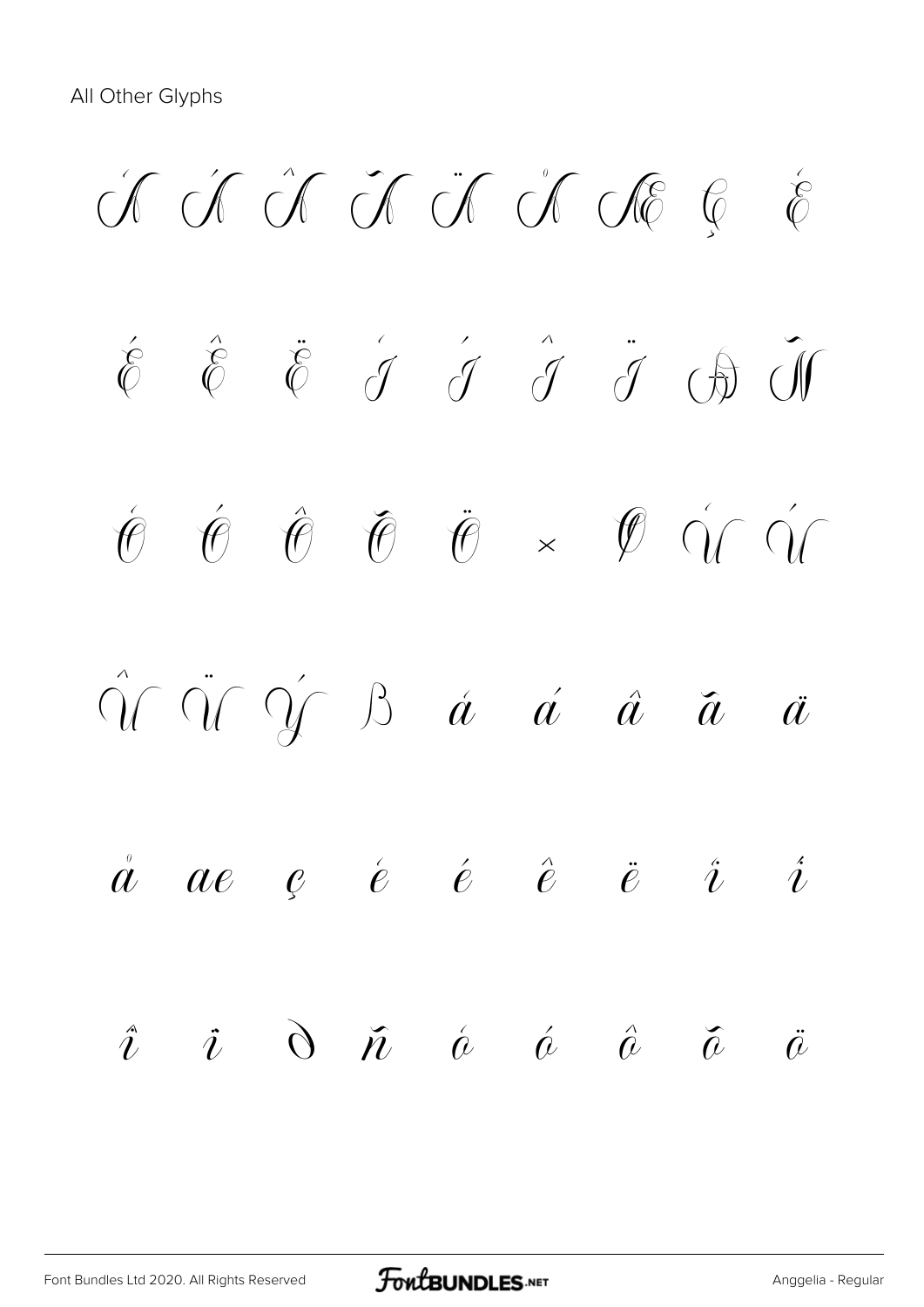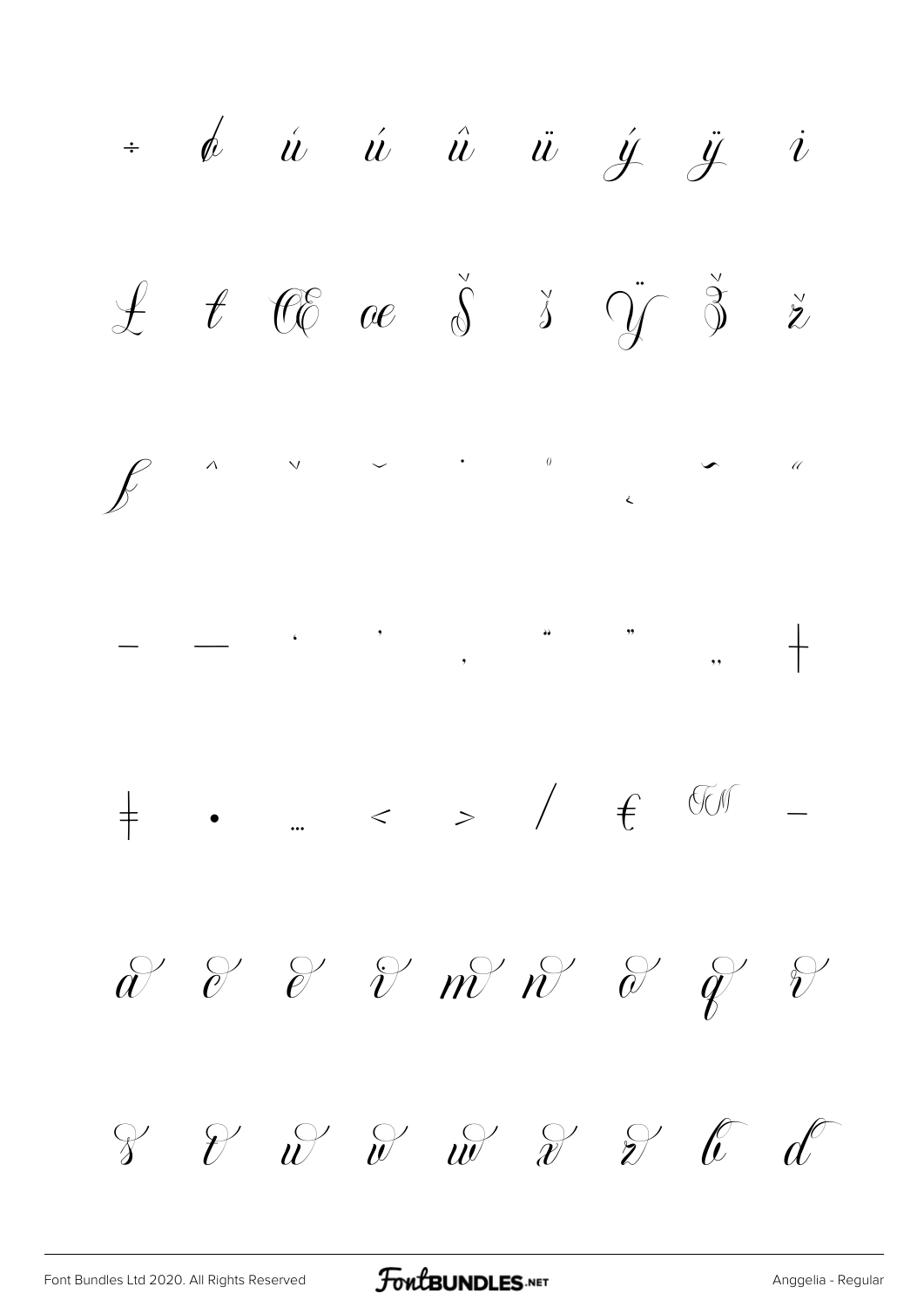$\dot{a}$   $\dot{a}$   $\dot{u}$   $\dot{u}$   $\ddot{u}$   $\dot{y}$   $\ddot{y}$   $\dot{v}$  $\begin{array}{ccccccccc}\mathcal{L} & \mathcal{t} & \mathcal{C}\mathcal{C} & \mathcal{C}\mathcal{C} & \mathcal{S} & \mathcal{S} & \mathcal{S} & \mathcal{S} & \mathcal{S} & \mathcal{S}\end{array}$  $\begin{array}{cccccccccccccc} \bigvee & & & \searrow & & & \bullet & & & \bullet & & & \circ \end{array}$  $\int$  $\land$  $\bar{\mathcal{U}}$  $\frac{1}{\sqrt{2}}$  $\begin{array}{cccccccccccccc} \n\frac{1}{T} & \bullet & \dots & < & > & / & \text{if} & \text{``} & \text{``} & \text{``} & \text{``} & \text{``} & \text{``} & \text{``} & \text{``} & \text{``} & \text{``} & \text{``} & \text{``} & \text{``} & \text{``} & \text{``} & \text{``} & \text{``} & \text{``} & \text{``} & \text{``} & \text{``} & \text{``} & \text{``} & \text{``} & \text{``} & \text{``} & \text{``} & \text{``} & \text{``} & \text{``} & \text$  $\mathscr{X}$  & &  $\mathscr{Y}$  m  $\mathscr{N}$  &  $\mathscr{Y}$  &  $\begin{array}{ccccc} \mathcal{C} & \mathcal{C} & \mathcal{C} & \mathcal{C} & \mathcal{C} & \mathcal{C} & \mathcal{C} & \mathcal{C} & \mathcal{C} & \mathcal{C} & \mathcal{C} & \mathcal{C} & \mathcal{C} & \mathcal{C} & \mathcal{C} & \mathcal{C} & \mathcal{C} & \mathcal{C} & \mathcal{C} & \mathcal{C} & \mathcal{C} & \mathcal{C} & \mathcal{C} & \mathcal{C} & \mathcal{C} & \mathcal{C} & \mathcal{C} & \mathcal{C} & \mathcal{C} & \mathcal{C} & \math$